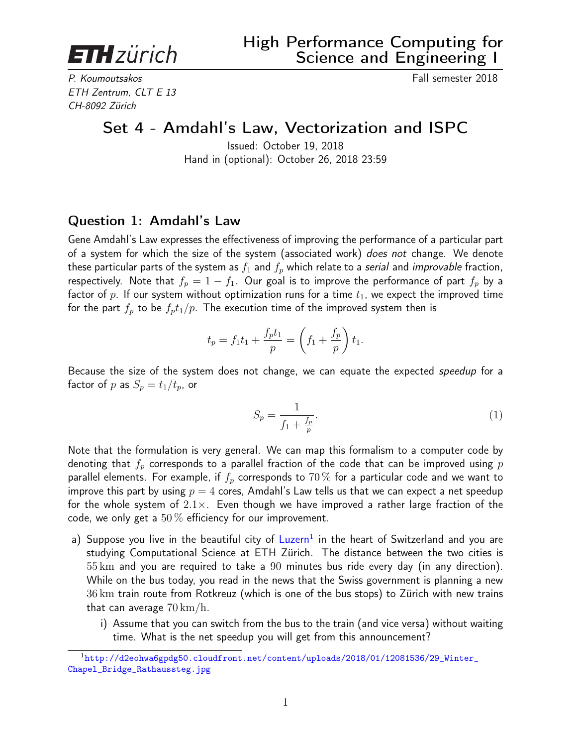<span id="page-0-0"></span>**ETH** zürich

P. Koumoutsakos Fall semester 2018 ETH Zentrum, CLT E 13 CH-8092 Zürich

# Set 4 - Amdahl's Law, Vectorization and ISPC

Issued: October 19, 2018 Hand in (optional): October 26, 2018 23:59

### Question 1: Amdahl's Law

Gene Amdahl's Law expresses the effectiveness of improving the performance of a particular part of a system for which the size of the system (associated work) *does not* change. We denote these particular parts of the system as  $f_1$  and  $f_p$  which relate to a serial and improvable fraction, respectively. Note that  $f_p = 1 - f_1$ . Our goal is to improve the performance of part  $f_p$  by a factor of p. If our system without optimization runs for a time  $t_1$ , we expect the improved time for the part  $f_p$  to be  $f_p t_1/p$ . The execution time of the improved system then is

$$
t_p = f_1 t_1 + \frac{f_p t_1}{p} = \left(f_1 + \frac{f_p}{p}\right) t_1.
$$

Because the size of the system does not change, we can equate the expected speedup for a factor of p as  $S_p = t_1/t_p$ , or

$$
S_p = \frac{1}{f_1 + \frac{f_p}{p}}.\tag{1}
$$

Note that the formulation is very general. We can map this formalism to a computer code by denoting that  $f_p$  corresponds to a parallel fraction of the code that can be improved using  $p$ parallel elements. For example, if  $f_p$  corresponds to 70% for a particular code and we want to improve this part by using  $p = 4$  cores, Amdahl's Law tells us that we can expect a net speedup for the whole system of  $2.1\times$ . Even though we have improved a rather large fraction of the code, we only get a  $50\%$  efficiency for our improvement.

- a) Suppose you live in the beautiful city of [Luzern](http://d2eohwa6gpdg50.cloudfront.net/content/uploads/2018/01/12081536/29_Winter_Chapel_Bridge_Rathaussteg.jpg)<sup>1</sup> in the heart of Switzerland and you are studying Computational Science at ETH Zürich. The distance between the two cities is 55 km and you are required to take a 90 minutes bus ride every day (in any direction). While on the bus today, you read in the news that the Swiss government is planning a new 36 km train route from Rotkreuz (which is one of the bus stops) to Zürich with new trains that can average  $70 \,\mathrm{km}/\mathrm{h}$ .
	- i) Assume that you can switch from the bus to the train (and vice versa) without waiting time. What is the net speedup you will get from this announcement?

<sup>1</sup>[http://d2eohwa6gpdg50.cloudfront.net/content/uploads/2018/01/12081536/29\\_Winter\\_](http://d2eohwa6gpdg50.cloudfront.net/content/uploads/2018/01/12081536/29_Winter_Chapel_Bridge_Rathaussteg.jpg) [Chapel\\_Bridge\\_Rathaussteg.jpg](http://d2eohwa6gpdg50.cloudfront.net/content/uploads/2018/01/12081536/29_Winter_Chapel_Bridge_Rathaussteg.jpg)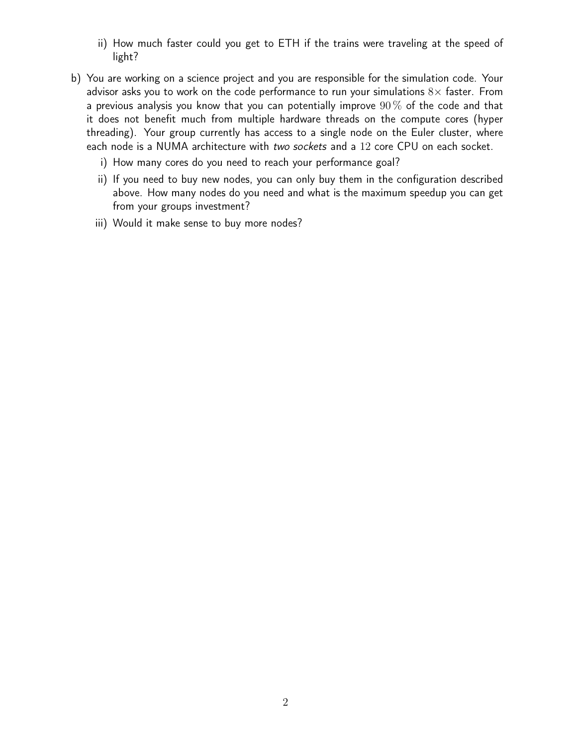- ii) How much faster could you get to ETH if the trains were traveling at the speed of light?
- b) You are working on a science project and you are responsible for the simulation code. Your advisor asks you to work on the code performance to run your simulations  $8\times$  faster. From a previous analysis you know that you can potentially improve  $90\%$  of the code and that it does not benefit much from multiple hardware threads on the compute cores (hyper threading). Your group currently has access to a single node on the Euler cluster, where each node is a NUMA architecture with two sockets and a 12 core CPU on each socket.
	- i) How many cores do you need to reach your performance goal?
	- ii) If you need to buy new nodes, you can only buy them in the configuration described above. How many nodes do you need and what is the maximum speedup you can get from your groups investment?
	- iii) Would it make sense to buy more nodes?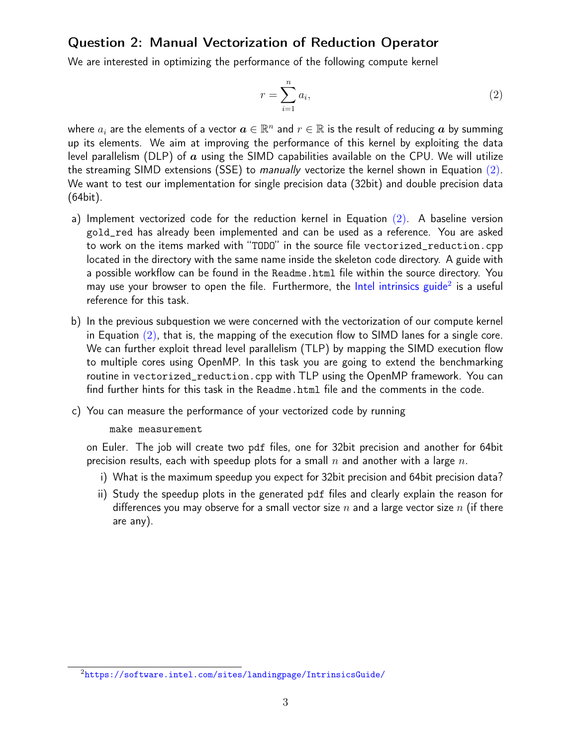## Question 2: Manual Vectorization of Reduction Operator

We are interested in optimizing the performance of the following compute kernel

<span id="page-2-0"></span>
$$
r = \sum_{i=1}^{n} a_i,\tag{2}
$$

where  $a_i$  are the elements of a vector  $\bm{a}\in\mathbb{R}^n$  and  $r\in\mathbb{R}$  is the result of reducing  $\bm{a}$  by summing up its elements. We aim at improving the performance of this kernel by exploiting the data level parallelism (DLP) of  $\alpha$  using the SIMD capabilities available on the CPU. We will utilize the streaming SIMD extensions (SSE) to manually vectorize the kernel shown in Equation [\(2\)](#page-2-0). We want to test our implementation for single precision data (32bit) and double precision data (64bit).

- a) Implement vectorized code for the reduction kernel in Equation [\(2\)](#page-2-0). A baseline version gold\_red has already been implemented and can be used as a reference. You are asked to work on the items marked with "TODO" in the source file vectorized\_reduction.cpp located in the directory with the same name inside the skeleton code directory. A guide with a possible workflow can be found in the Readme.html file within the source directory. You may use your browser to open the file. Furthermore, the [Intel intrinsics guide](https://software.intel.com/sites/landingpage/IntrinsicsGuide/)<sup>[2](#page-0-0)</sup> is a useful reference for this task.
- b) In the previous subquestion we were concerned with the vectorization of our compute kernel in Equation  $(2)$ , that is, the mapping of the execution flow to SIMD lanes for a single core. We can further exploit thread level parallelism (TLP) by mapping the SIMD execution flow to multiple cores using OpenMP. In this task you are going to extend the benchmarking routine in vectorized\_reduction.cpp with TLP using the OpenMP framework. You can find further hints for this task in the Readme.html file and the comments in the code.
- c) You can measure the performance of your vectorized code by running

#### make measurement

on Euler. The job will create two pdf files, one for 32bit precision and another for 64bit precision results, each with speedup plots for a small  $n$  and another with a large  $n$ .

- i) What is the maximum speedup you expect for 32bit precision and 64bit precision data?
- ii) Study the speedup plots in the generated pdf files and clearly explain the reason for differences you may observe for a small vector size  $n$  and a large vector size  $n$  (if there are any).

<sup>2</sup><https://software.intel.com/sites/landingpage/IntrinsicsGuide/>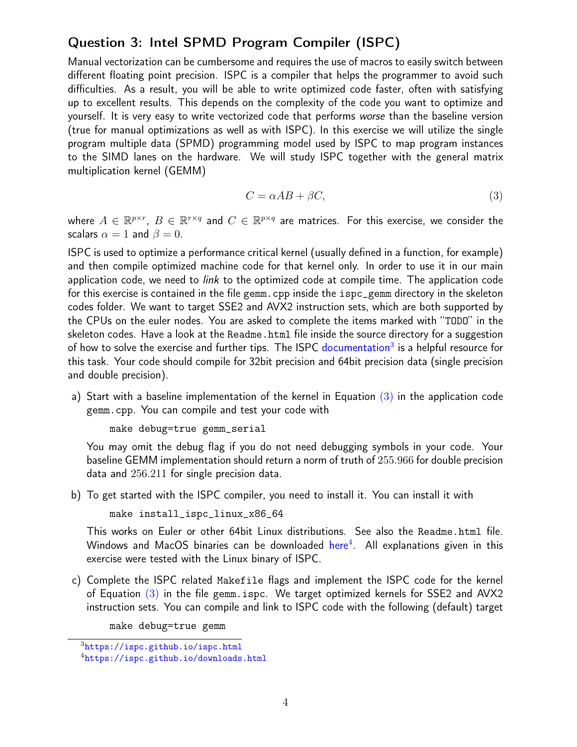# Question 3: Intel SPMD Program Compiler (ISPC)

Manual vectorization can be cumbersome and requires the use of macros to easily switch between different floating point precision. ISPC is a compiler that helps the programmer to avoid such difficulties. As a result, you will be able to write optimized code faster, often with satisfying up to excellent results. This depends on the complexity of the code you want to optimize and yourself. It is very easy to write vectorized code that performs worse than the baseline version (true for manual optimizations as well as with ISPC). In this exercise we will utilize the single program multiple data (SPMD) programming model used by ISPC to map program instances to the SIMD lanes on the hardware. We will study ISPC together with the general matrix multiplication kernel (GEMM)

<span id="page-3-0"></span>
$$
C = \alpha AB + \beta C,\tag{3}
$$

where  $A\in\mathbb{R}^{p\times r}$ ,  $B\in\mathbb{R}^{r\times q}$  and  $C\in\mathbb{R}^{p\times q}$  are matrices. For this exercise, we consider the scalars  $\alpha = 1$  and  $\beta = 0$ .

ISPC is used to optimize a performance critical kernel (usually defined in a function, for example) and then compile optimized machine code for that kernel only. In order to use it in our main application code, we need to *link* to the optimized code at compile time. The application code for this exercise is contained in the file gemm.cpp inside the ispc\_gemm directory in the skeleton codes folder. We want to target SSE2 and AVX2 instruction sets, which are both supported by the CPUs on the euler nodes. You are asked to complete the items marked with "TODO" in the skeleton codes. Have a look at the Readme.html file inside the source directory for a suggestion of how to solve the exercise and further tips. The ISPC [documentation](https://ispc.github.io/ispc.html)<sup>[3](#page-0-0)</sup> is a helpful resource for this task. Your code should compile for 32bit precision and 64bit precision data (single precision and double precision).

a) Start with a baseline implementation of the kernel in Equation  $(3)$  in the application code gemm.cpp. You can compile and test your code with

```
make debug=true gemm_serial
```
You may omit the debug flag if you do not need debugging symbols in your code. Your baseline GEMM implementation should return a norm of truth of 255.966 for double precision data and 256.211 for single precision data.

b) To get started with the ISPC compiler, you need to install it. You can install it with

```
make install_ispc_linux_x86_64
```
This works on Euler or other 64bit Linux distributions. See also the Readme.html file. Windows and MacOS binaries can be downloaded  $\hbox{\sf here}^4$  $\hbox{\sf here}^4$  $\hbox{\sf here}^4$  $\hbox{\sf here}^4$ . All explanations given in this exercise were tested with the Linux binary of ISPC.

c) Complete the ISPC related Makefile flags and implement the ISPC code for the kernel of Equation  $(3)$  in the file gemm.ispc. We target optimized kernels for SSE2 and AVX2 instruction sets. You can compile and link to ISPC code with the following (default) target

make debug=true gemm

 $3$ <https://ispc.github.io/ispc.html>

<sup>4</sup><https://ispc.github.io/downloads.html>